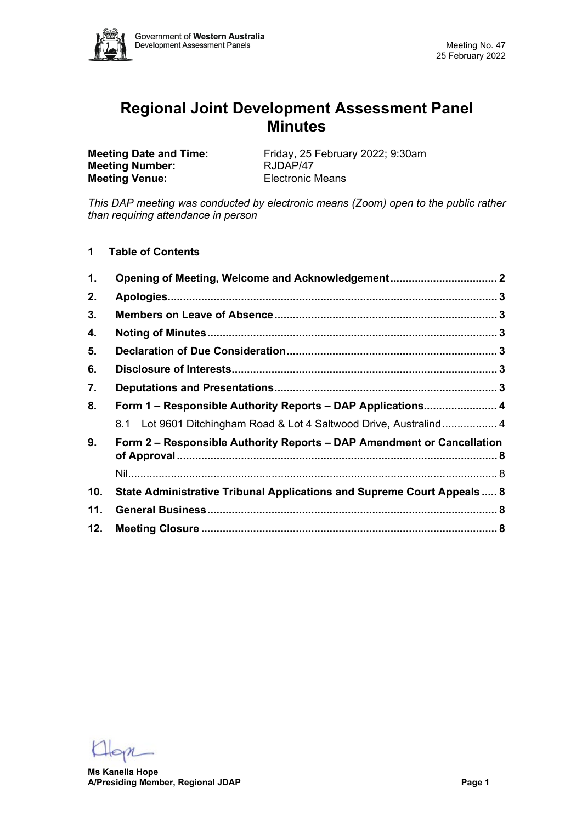

# **Regional Joint Development Assessment Panel Minutes**

**Meeting Number: Meeting Venue:** Electronic Means

**Meeting Date and Time:** Friday, 25 February 2022; 9:30am<br> **Meeting Number:** RJDAP/47

*This DAP meeting was conducted by electronic means (Zoom) open to the public rather than requiring attendance in person*

**1 Table of Contents**

| $\mathbf 1$ . | Opening of Meeting, Welcome and Acknowledgement 2                       |  |
|---------------|-------------------------------------------------------------------------|--|
| 2.            |                                                                         |  |
| 3.            |                                                                         |  |
| 4.            |                                                                         |  |
| 5.            |                                                                         |  |
| 6.            |                                                                         |  |
| 7.            |                                                                         |  |
| 8.            | Form 1 - Responsible Authority Reports - DAP Applications 4             |  |
|               | 8.1 Lot 9601 Ditchingham Road & Lot 4 Saltwood Drive, Australind 4      |  |
| 9.            | Form 2 - Responsible Authority Reports - DAP Amendment or Cancellation  |  |
|               |                                                                         |  |
| 10.           | State Administrative Tribunal Applications and Supreme Court Appeals  8 |  |
| 11.           |                                                                         |  |
| 12.           |                                                                         |  |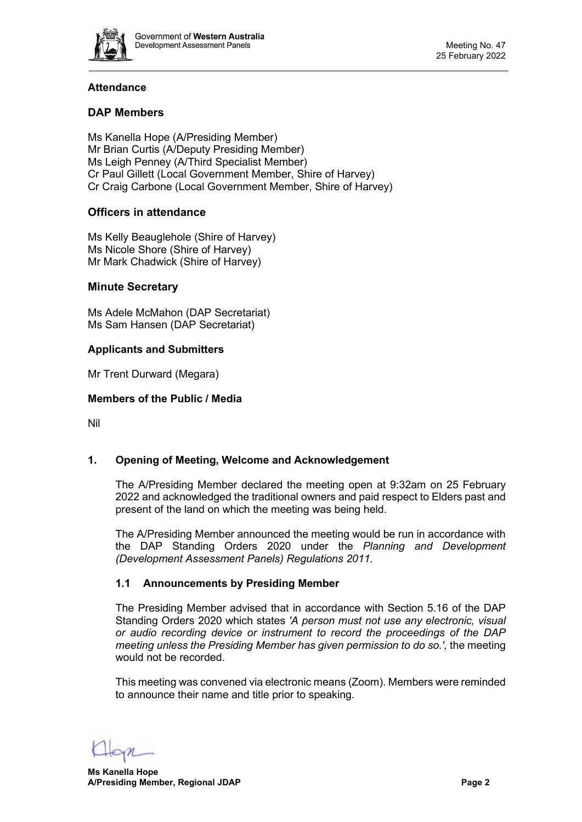

# **Attendance**

# **DAP Members**

Ms Kanella Hope (A/Presiding Member) Mr Brian Curtis (A/Deputy Presiding Member) Ms Leigh Penney (A/Third Specialist Member) Cr Paul Gillett (Local Government Member, Shire of Harvey) Cr Craig Carbone (Local Government Member, Shire of Harvey)

# **Officers in attendance**

Ms Kelly Beauglehole (Shire of Harvey) Ms Nicole Shore (Shire of Harvey) Mr Mark Chadwick (Shire of Harvey)

# **Minute Secretary**

Ms Adele McMahon (DAP Secretariat) Ms Sam Hansen (DAP Secretariat)

#### **Applicants and Submitters**

Mr Trent Durward (Megara)

#### **Members of the Public / Media**

Nil

# <span id="page-1-0"></span>**1. Opening of Meeting, Welcome and Acknowledgement**

The A/Presiding Member declared the meeting open at 9:32am on 25 February 2022 and acknowledged the traditional owners and paid respect to Elders past and present of the land on which the meeting was being held.

The A/Presiding Member announced the meeting would be run in accordance with the DAP Standing Orders 2020 under the *Planning and Development (Development Assessment Panels) Regulations 2011.*

# **1.1 Announcements by Presiding Member**

The Presiding Member advised that in accordance with Section 5.16 of the DAP Standing Orders 2020 which states *'A person must not use any electronic, visual or audio recording device or instrument to record the proceedings of the DAP meeting unless the Presiding Member has given permission to do so.',* the meeting would not be recorded.

This meeting was convened via electronic means (Zoom). Members were reminded to announce their name and title prior to speaking.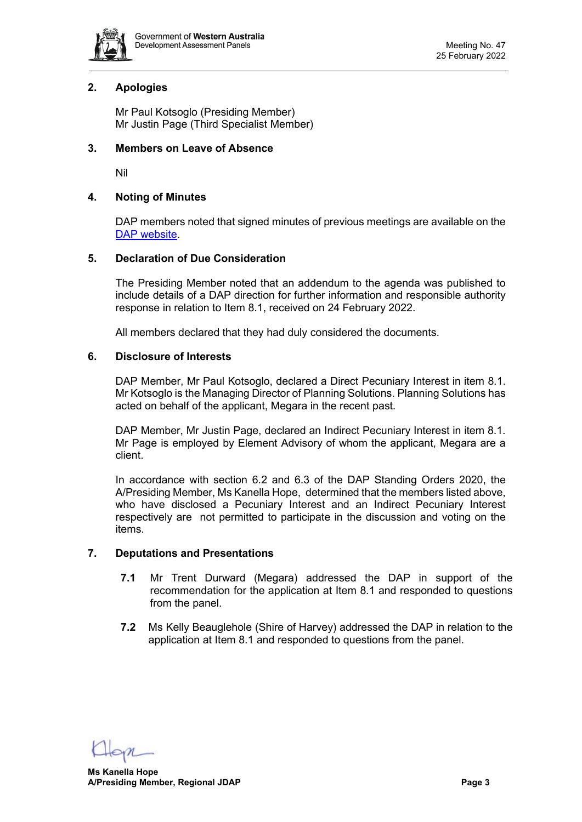

# <span id="page-2-0"></span>**2. Apologies**

Mr Paul Kotsoglo (Presiding Member) Mr Justin Page (Third Specialist Member)

#### <span id="page-2-1"></span>**3. Members on Leave of Absence**

Nil

# <span id="page-2-2"></span>**4. Noting of Minutes**

DAP members noted that signed minutes of previous meetings are available on the [DAP website.](https://www.dplh.wa.gov.au/about/development-assessment-panels/daps-agendas-and-minutes)

#### <span id="page-2-3"></span>**5. Declaration of Due Consideration**

The Presiding Member noted that an addendum to the agenda was published to include details of a DAP direction for further information and responsible authority response in relation to Item 8.1, received on 24 February 2022.

All members declared that they had duly considered the documents.

#### <span id="page-2-4"></span>**6. Disclosure of Interests**

DAP Member, Mr Paul Kotsoglo, declared a Direct Pecuniary Interest in item 8.1. Mr Kotsoglo is the Managing Director of Planning Solutions. Planning Solutions has acted on behalf of the applicant, Megara in the recent past.

DAP Member, Mr Justin Page, declared an Indirect Pecuniary Interest in item 8.1. Mr Page is employed by Element Advisory of whom the applicant, Megara are a client.

In accordance with section 6.2 and 6.3 of the DAP Standing Orders 2020, the A/Presiding Member, Ms Kanella Hope, determined that the members listed above, who have disclosed a Pecuniary Interest and an Indirect Pecuniary Interest respectively are not permitted to participate in the discussion and voting on the items.

# <span id="page-2-5"></span>**7. Deputations and Presentations**

- **7.1** Mr Trent Durward (Megara) addressed the DAP in support of the recommendation for the application at Item 8.1 and responded to questions from the panel.
- **7.2** Ms Kelly Beauglehole (Shire of Harvey) addressed the DAP in relation to the application at Item 8.1 and responded to questions from the panel.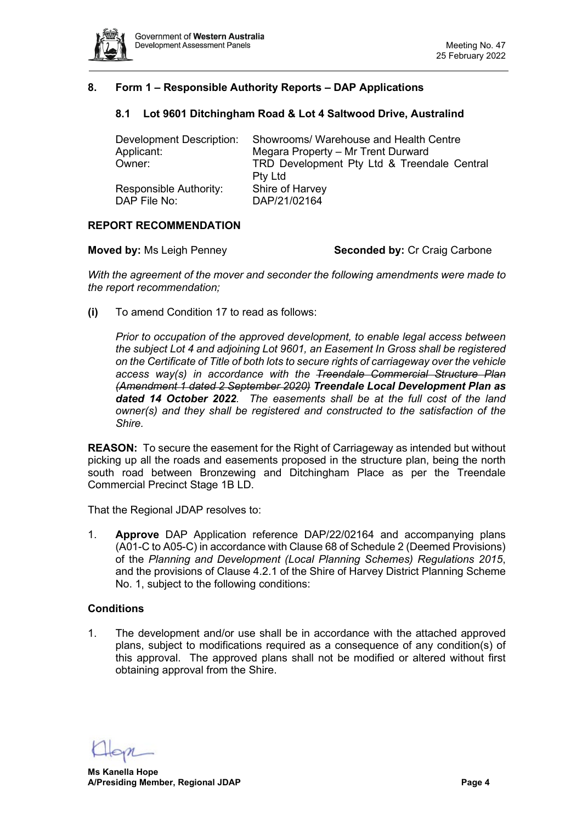

# <span id="page-3-1"></span><span id="page-3-0"></span>**8. Form 1 – Responsible Authority Reports – DAP Applications**

# **8.1 Lot 9601 Ditchingham Road & Lot 4 Saltwood Drive, Australind**

| Development Description: | Showrooms/ Warehouse and Health Centre      |
|--------------------------|---------------------------------------------|
| Applicant:               | Megara Property - Mr Trent Durward          |
| Owner:                   | TRD Development Pty Ltd & Treendale Central |
|                          | <b>Pty Ltd</b>                              |
| Responsible Authority:   | Shire of Harvey                             |
| DAP File No:             | DAP/21/02164                                |

#### **REPORT RECOMMENDATION**

**Moved by: Ms Leigh Penney <b>Seconded by:** Cr Craig Carbone

*With the agreement of the mover and seconder the following amendments were made to the report recommendation;*

**(i)** To amend Condition 17 to read as follows:

*Prior to occupation of the approved development, to enable legal access between the subject Lot 4 and adjoining Lot 9601, an Easement In Gross shall be registered on the Certificate of Title of both lots to secure rights of carriageway over the vehicle access way(s) in accordance with the Treendale Commercial Structure Plan (Amendment 1 dated 2 September 2020) Treendale Local Development Plan as dated 14 October 2022. The easements shall be at the full cost of the land owner(s) and they shall be registered and constructed to the satisfaction of the Shire.*

**REASON:** To secure the easement for the Right of Carriageway as intended but without picking up all the roads and easements proposed in the structure plan, being the north south road between Bronzewing and Ditchingham Place as per the Treendale Commercial Precinct Stage 1B LD.

That the Regional JDAP resolves to:

1. **Approve** DAP Application reference DAP/22/02164 and accompanying plans (A01-C to A05-C) in accordance with Clause 68 of Schedule 2 (Deemed Provisions) of the *Planning and Development (Local Planning Schemes) Regulations 2015*, and the provisions of Clause 4.2.1 of the Shire of Harvey District Planning Scheme No. 1, subject to the following conditions:

# **Conditions**

1. The development and/or use shall be in accordance with the attached approved plans, subject to modifications required as a consequence of any condition(s) of this approval. The approved plans shall not be modified or altered without first obtaining approval from the Shire.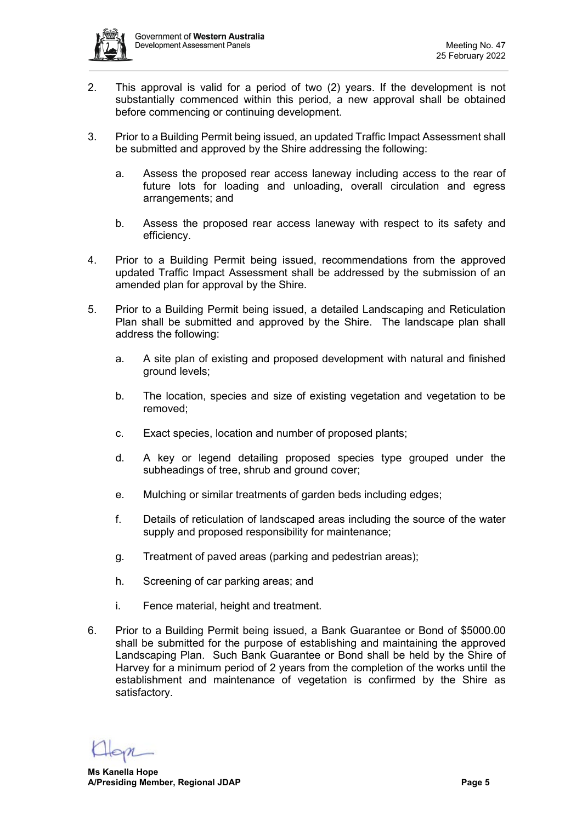

- 2. This approval is valid for a period of two (2) years. If the development is not substantially commenced within this period, a new approval shall be obtained before commencing or continuing development.
- 3. Prior to a Building Permit being issued, an updated Traffic Impact Assessment shall be submitted and approved by the Shire addressing the following:
	- a. Assess the proposed rear access laneway including access to the rear of future lots for loading and unloading, overall circulation and egress arrangements; and
	- b. Assess the proposed rear access laneway with respect to its safety and efficiency.
- 4. Prior to a Building Permit being issued, recommendations from the approved updated Traffic Impact Assessment shall be addressed by the submission of an amended plan for approval by the Shire.
- 5. Prior to a Building Permit being issued, a detailed Landscaping and Reticulation Plan shall be submitted and approved by the Shire. The landscape plan shall address the following:
	- a. A site plan of existing and proposed development with natural and finished ground levels;
	- b. The location, species and size of existing vegetation and vegetation to be removed;
	- c. Exact species, location and number of proposed plants;
	- d. A key or legend detailing proposed species type grouped under the subheadings of tree, shrub and ground cover;
	- e. Mulching or similar treatments of garden beds including edges;
	- f. Details of reticulation of landscaped areas including the source of the water supply and proposed responsibility for maintenance;
	- g. Treatment of paved areas (parking and pedestrian areas);
	- h. Screening of car parking areas; and
	- i. Fence material, height and treatment.
- 6. Prior to a Building Permit being issued, a Bank Guarantee or Bond of \$5000.00 shall be submitted for the purpose of establishing and maintaining the approved Landscaping Plan. Such Bank Guarantee or Bond shall be held by the Shire of Harvey for a minimum period of 2 years from the completion of the works until the establishment and maintenance of vegetation is confirmed by the Shire as satisfactory.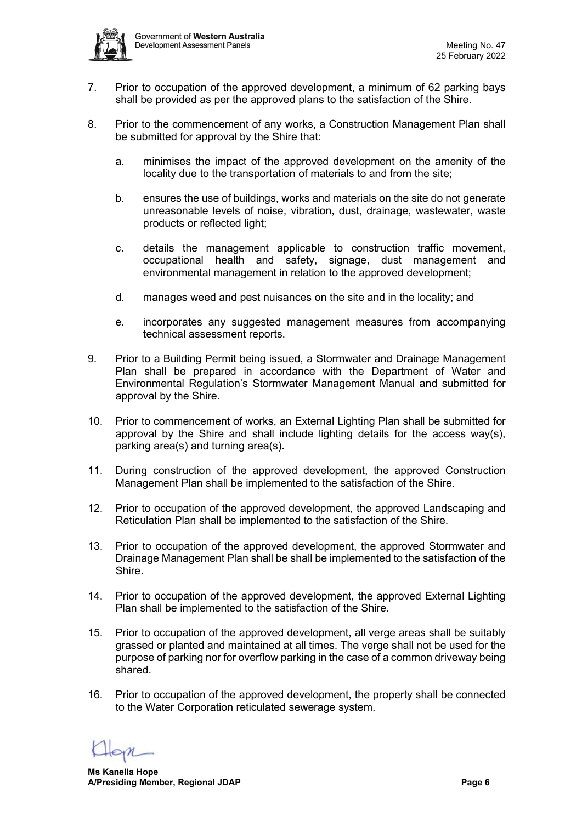

- 7. Prior to occupation of the approved development, a minimum of 62 parking bays shall be provided as per the approved plans to the satisfaction of the Shire.
- 8. Prior to the commencement of any works, a Construction Management Plan shall be submitted for approval by the Shire that:
	- a. minimises the impact of the approved development on the amenity of the locality due to the transportation of materials to and from the site;
	- b. ensures the use of buildings, works and materials on the site do not generate unreasonable levels of noise, vibration, dust, drainage, wastewater, waste products or reflected light;
	- c. details the management applicable to construction traffic movement, occupational health and safety, signage, dust management and environmental management in relation to the approved development;
	- d. manages weed and pest nuisances on the site and in the locality; and
	- e. incorporates any suggested management measures from accompanying technical assessment reports.
- 9. Prior to a Building Permit being issued, a Stormwater and Drainage Management Plan shall be prepared in accordance with the Department of Water and Environmental Regulation's Stormwater Management Manual and submitted for approval by the Shire.
- 10. Prior to commencement of works, an External Lighting Plan shall be submitted for approval by the Shire and shall include lighting details for the access way(s), parking area(s) and turning area(s).
- 11. During construction of the approved development, the approved Construction Management Plan shall be implemented to the satisfaction of the Shire.
- 12. Prior to occupation of the approved development, the approved Landscaping and Reticulation Plan shall be implemented to the satisfaction of the Shire.
- 13. Prior to occupation of the approved development, the approved Stormwater and Drainage Management Plan shall be shall be implemented to the satisfaction of the Shire.
- 14. Prior to occupation of the approved development, the approved External Lighting Plan shall be implemented to the satisfaction of the Shire.
- 15. Prior to occupation of the approved development, all verge areas shall be suitably grassed or planted and maintained at all times. The verge shall not be used for the purpose of parking nor for overflow parking in the case of a common driveway being shared.
- 16. Prior to occupation of the approved development, the property shall be connected to the Water Corporation reticulated sewerage system.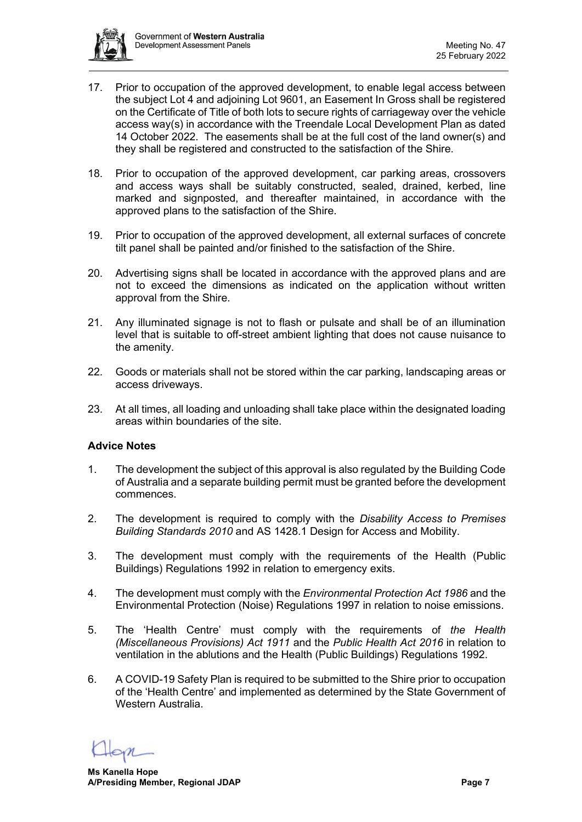

- 17. Prior to occupation of the approved development, to enable legal access between the subject Lot 4 and adjoining Lot 9601, an Easement In Gross shall be registered on the Certificate of Title of both lots to secure rights of carriageway over the vehicle access way(s) in accordance with the Treendale Local Development Plan as dated 14 October 2022. The easements shall be at the full cost of the land owner(s) and they shall be registered and constructed to the satisfaction of the Shire.
- 18. Prior to occupation of the approved development, car parking areas, crossovers and access ways shall be suitably constructed, sealed, drained, kerbed, line marked and signposted, and thereafter maintained, in accordance with the approved plans to the satisfaction of the Shire.
- 19. Prior to occupation of the approved development, all external surfaces of concrete tilt panel shall be painted and/or finished to the satisfaction of the Shire.
- 20. Advertising signs shall be located in accordance with the approved plans and are not to exceed the dimensions as indicated on the application without written approval from the Shire.
- 21. Any illuminated signage is not to flash or pulsate and shall be of an illumination level that is suitable to off-street ambient lighting that does not cause nuisance to the amenity.
- 22. Goods or materials shall not be stored within the car parking, landscaping areas or access driveways.
- 23. At all times, all loading and unloading shall take place within the designated loading areas within boundaries of the site.

# **Advice Notes**

- 1. The development the subject of this approval is also regulated by the Building Code of Australia and a separate building permit must be granted before the development commences.
- 2. The development is required to comply with the *Disability Access to Premises Building Standards 2010* and AS 1428.1 Design for Access and Mobility.
- 3. The development must comply with the requirements of the Health (Public Buildings) Regulations 1992 in relation to emergency exits.
- 4. The development must comply with the *Environmental Protection Act 1986* and the Environmental Protection (Noise) Regulations 1997 in relation to noise emissions.
- 5. The 'Health Centre' must comply with the requirements of *the Health (Miscellaneous Provisions) Act 1911* and the *Public Health Act 2016* in relation to ventilation in the ablutions and the Health (Public Buildings) Regulations 1992.
- 6. A COVID-19 Safety Plan is required to be submitted to the Shire prior to occupation of the 'Health Centre' and implemented as determined by the State Government of Western Australia.